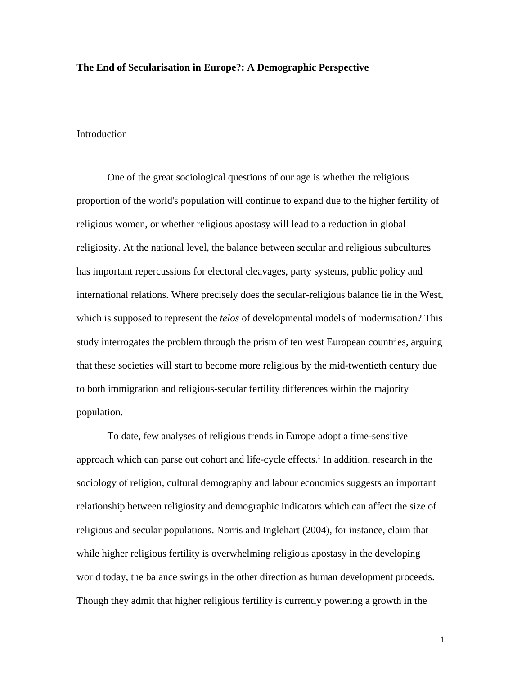# **The End of Secularisation in Europe?: A Demographic Perspective**

### Introduction

 One of the great sociological questions of our age is whether the religious proportion of the world's population will continue to expand due to the higher fertility of religious women, or whether religious apostasy will lead to a reduction in global religiosity. At the national level, the balance between secular and religious subcultures has important repercussions for electoral cleavages, party systems, public policy and international relations. Where precisely does the secular-religious balance lie in the West, which is supposed to represent the *telos* of developmental models of modernisation? This study interrogates the problem through the prism of ten west European countries, arguing that these societies will start to become more religious by the mid-twentieth century due to both immigration and religious-secular fertility differences within the majority population.

To date, few analyses of religious trends in Europe adopt a time-sensitive approach which can parse out cohort and life-cycle effects.<sup>1</sup> In addition, research in the sociology of religion, cultural demography and labour economics suggests an important relationship between religiosity and demographic indicators which can affect the size of religious and secular populations. Norris and Inglehart (2004), for instance, claim that while higher religious fertility is overwhelming religious apostasy in the developing world today, the balance swings in the other direction as human development proceeds. Though they admit that higher religious fertility is currently powering a growth in the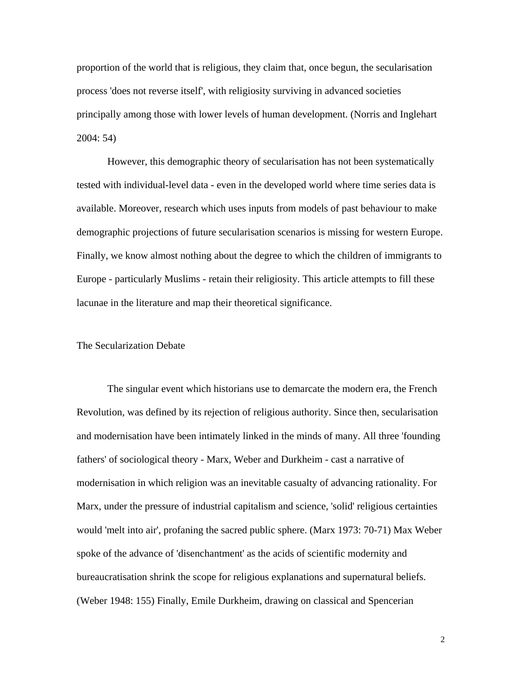proportion of the world that is religious, they claim that, once begun, the secularisation process 'does not reverse itself', with religiosity surviving in advanced societies principally among those with lower levels of human development. (Norris and Inglehart 2004: 54)

However, this demographic theory of secularisation has not been systematically tested with individual-level data - even in the developed world where time series data is available. Moreover, research which uses inputs from models of past behaviour to make demographic projections of future secularisation scenarios is missing for western Europe. Finally, we know almost nothing about the degree to which the children of immigrants to Europe - particularly Muslims - retain their religiosity. This article attempts to fill these lacunae in the literature and map their theoretical significance.

## The Secularization Debate

 The singular event which historians use to demarcate the modern era, the French Revolution, was defined by its rejection of religious authority. Since then, secularisation and modernisation have been intimately linked in the minds of many. All three 'founding fathers' of sociological theory - Marx, Weber and Durkheim - cast a narrative of modernisation in which religion was an inevitable casualty of advancing rationality. For Marx, under the pressure of industrial capitalism and science, 'solid' religious certainties would 'melt into air', profaning the sacred public sphere. (Marx 1973: 70-71) Max Weber spoke of the advance of 'disenchantment' as the acids of scientific modernity and bureaucratisation shrink the scope for religious explanations and supernatural beliefs. (Weber 1948: 155) Finally, Emile Durkheim, drawing on classical and Spencerian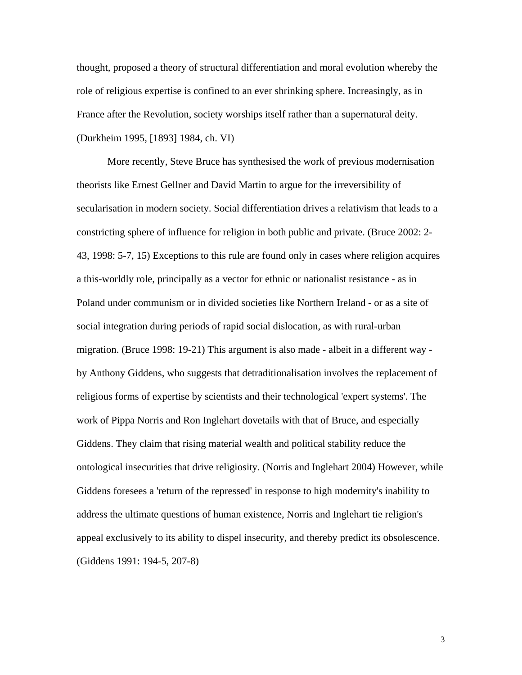thought, proposed a theory of structural differentiation and moral evolution whereby the role of religious expertise is confined to an ever shrinking sphere. Increasingly, as in France after the Revolution, society worships itself rather than a supernatural deity. (Durkheim 1995, [1893] 1984, ch. VI)

 More recently, Steve Bruce has synthesised the work of previous modernisation theorists like Ernest Gellner and David Martin to argue for the irreversibility of secularisation in modern society. Social differentiation drives a relativism that leads to a constricting sphere of influence for religion in both public and private. (Bruce 2002: 2- 43, 1998: 5-7, 15) Exceptions to this rule are found only in cases where religion acquires a this-worldly role, principally as a vector for ethnic or nationalist resistance - as in Poland under communism or in divided societies like Northern Ireland - or as a site of social integration during periods of rapid social dislocation, as with rural-urban migration. (Bruce 1998: 19-21) This argument is also made - albeit in a different way by Anthony Giddens, who suggests that detraditionalisation involves the replacement of religious forms of expertise by scientists and their technological 'expert systems'. The work of Pippa Norris and Ron Inglehart dovetails with that of Bruce, and especially Giddens. They claim that rising material wealth and political stability reduce the ontological insecurities that drive religiosity. (Norris and Inglehart 2004) However, while Giddens foresees a 'return of the repressed' in response to high modernity's inability to address the ultimate questions of human existence, Norris and Inglehart tie religion's appeal exclusively to its ability to dispel insecurity, and thereby predict its obsolescence. (Giddens 1991: 194-5, 207-8)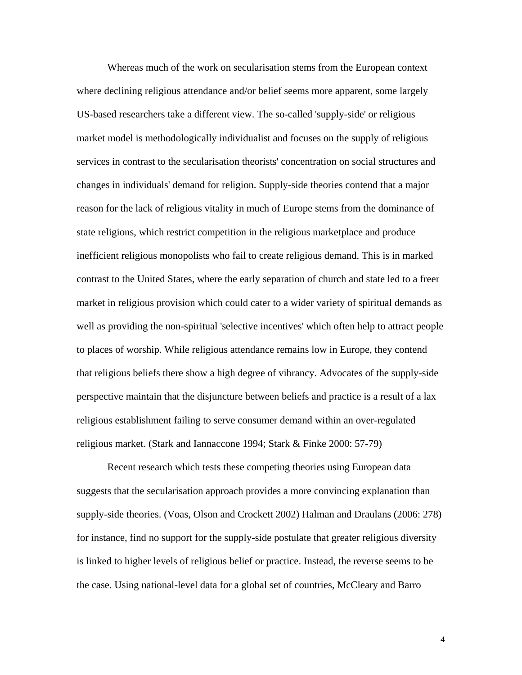Whereas much of the work on secularisation stems from the European context where declining religious attendance and/or belief seems more apparent, some largely US-based researchers take a different view. The so-called 'supply-side' or religious market model is methodologically individualist and focuses on the supply of religious services in contrast to the secularisation theorists' concentration on social structures and changes in individuals' demand for religion. Supply-side theories contend that a major reason for the lack of religious vitality in much of Europe stems from the dominance of state religions, which restrict competition in the religious marketplace and produce inefficient religious monopolists who fail to create religious demand. This is in marked contrast to the United States, where the early separation of church and state led to a freer market in religious provision which could cater to a wider variety of spiritual demands as well as providing the non-spiritual 'selective incentives' which often help to attract people to places of worship. While religious attendance remains low in Europe, they contend that religious beliefs there show a high degree of vibrancy. Advocates of the supply-side perspective maintain that the disjuncture between beliefs and practice is a result of a lax religious establishment failing to serve consumer demand within an over-regulated religious market. (Stark and Iannaccone 1994; Stark & Finke 2000: 57-79)

 Recent research which tests these competing theories using European data suggests that the secularisation approach provides a more convincing explanation than supply-side theories. (Voas, Olson and Crockett 2002) Halman and Draulans (2006: 278) for instance, find no support for the supply-side postulate that greater religious diversity is linked to higher levels of religious belief or practice. Instead, the reverse seems to be the case. Using national-level data for a global set of countries, McCleary and Barro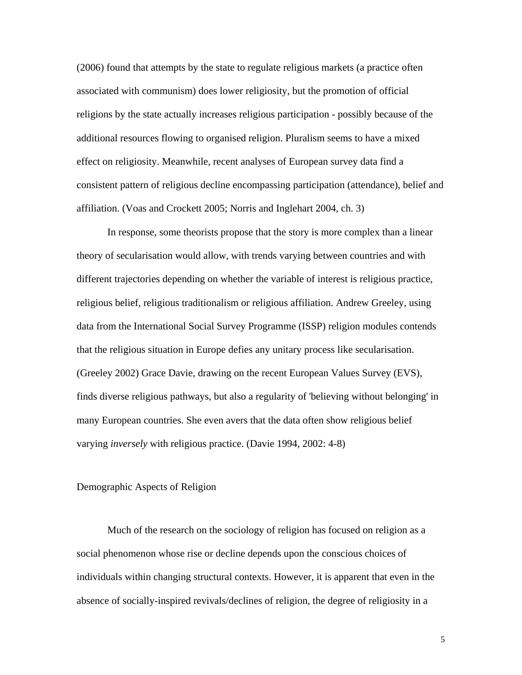(2006) found that attempts by the state to regulate religious markets (a practice often associated with communism) does lower religiosity, but the promotion of official religions by the state actually increases religious participation - possibly because of the additional resources flowing to organised religion. Pluralism seems to have a mixed effect on religiosity. Meanwhile, recent analyses of European survey data find a consistent pattern of religious decline encompassing participation (attendance), belief and affiliation. (Voas and Crockett 2005; Norris and Inglehart 2004, ch. 3)

 In response, some theorists propose that the story is more complex than a linear theory of secularisation would allow, with trends varying between countries and with different trajectories depending on whether the variable of interest is religious practice, religious belief, religious traditionalism or religious affiliation. Andrew Greeley, using data from the International Social Survey Programme (ISSP) religion modules contends that the religious situation in Europe defies any unitary process like secularisation. (Greeley 2002) Grace Davie, drawing on the recent European Values Survey (EVS), finds diverse religious pathways, but also a regularity of 'believing without belonging' in many European countries. She even avers that the data often show religious belief varying *inversely* with religious practice. (Davie 1994, 2002: 4-8)

## Demographic Aspects of Religion

 Much of the research on the sociology of religion has focused on religion as a social phenomenon whose rise or decline depends upon the conscious choices of individuals within changing structural contexts. However, it is apparent that even in the absence of socially-inspired revivals/declines of religion, the degree of religiosity in a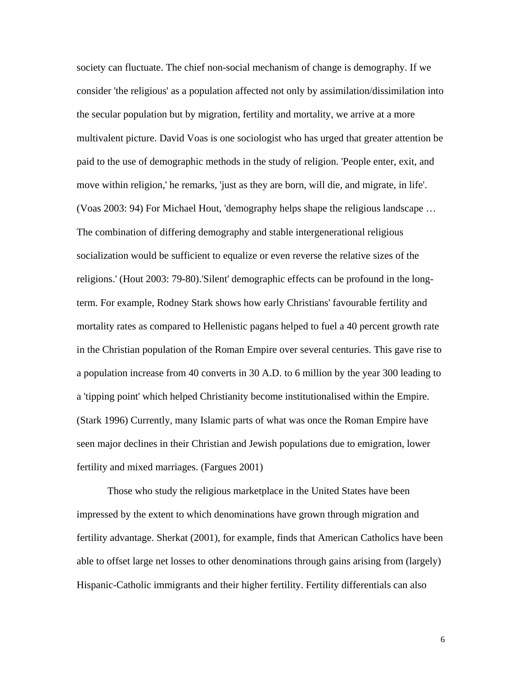society can fluctuate. The chief non-social mechanism of change is demography. If we consider 'the religious' as a population affected not only by assimilation/dissimilation into the secular population but by migration, fertility and mortality, we arrive at a more multivalent picture. David Voas is one sociologist who has urged that greater attention be paid to the use of demographic methods in the study of religion. 'People enter, exit, and move within religion,' he remarks, 'just as they are born, will die, and migrate, in life'. (Voas 2003: 94) For Michael Hout, 'demography helps shape the religious landscape … The combination of differing demography and stable intergenerational religious socialization would be sufficient to equalize or even reverse the relative sizes of the religions.' (Hout 2003: 79-80).'Silent' demographic effects can be profound in the longterm. For example, Rodney Stark shows how early Christians' favourable fertility and mortality rates as compared to Hellenistic pagans helped to fuel a 40 percent growth rate in the Christian population of the Roman Empire over several centuries. This gave rise to a population increase from 40 converts in 30 A.D. to 6 million by the year 300 leading to a 'tipping point' which helped Christianity become institutionalised within the Empire. (Stark 1996) Currently, many Islamic parts of what was once the Roman Empire have seen major declines in their Christian and Jewish populations due to emigration, lower fertility and mixed marriages. (Fargues 2001)

 Those who study the religious marketplace in the United States have been impressed by the extent to which denominations have grown through migration and fertility advantage. Sherkat (2001), for example, finds that American Catholics have been able to offset large net losses to other denominations through gains arising from (largely) Hispanic-Catholic immigrants and their higher fertility. Fertility differentials can also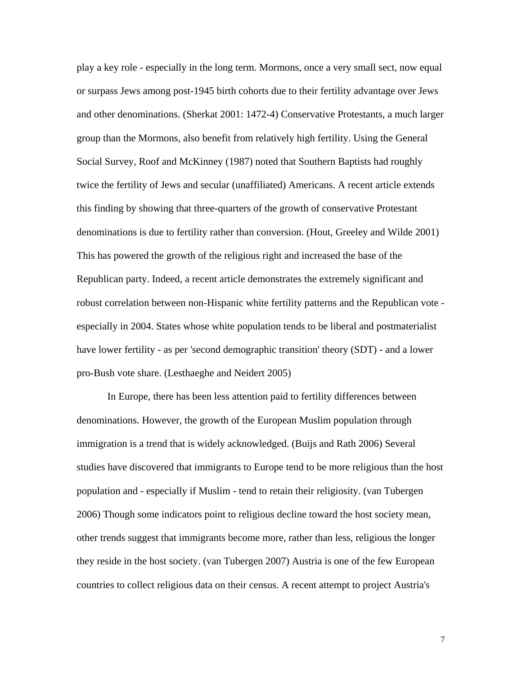play a key role - especially in the long term. Mormons, once a very small sect, now equal or surpass Jews among post-1945 birth cohorts due to their fertility advantage over Jews and other denominations. (Sherkat 2001: 1472-4) Conservative Protestants, a much larger group than the Mormons, also benefit from relatively high fertility. Using the General Social Survey, Roof and McKinney (1987) noted that Southern Baptists had roughly twice the fertility of Jews and secular (unaffiliated) Americans. A recent article extends this finding by showing that three-quarters of the growth of conservative Protestant denominations is due to fertility rather than conversion. (Hout, Greeley and Wilde 2001) This has powered the growth of the religious right and increased the base of the Republican party. Indeed, a recent article demonstrates the extremely significant and robust correlation between non-Hispanic white fertility patterns and the Republican vote especially in 2004. States whose white population tends to be liberal and postmaterialist have lower fertility - as per 'second demographic transition' theory (SDT) - and a lower pro-Bush vote share. (Lesthaeghe and Neidert 2005)

 In Europe, there has been less attention paid to fertility differences between denominations. However, the growth of the European Muslim population through immigration is a trend that is widely acknowledged. (Buijs and Rath 2006) Several studies have discovered that immigrants to Europe tend to be more religious than the host population and - especially if Muslim - tend to retain their religiosity. (van Tubergen 2006) Though some indicators point to religious decline toward the host society mean, other trends suggest that immigrants become more, rather than less, religious the longer they reside in the host society. (van Tubergen 2007) Austria is one of the few European countries to collect religious data on their census. A recent attempt to project Austria's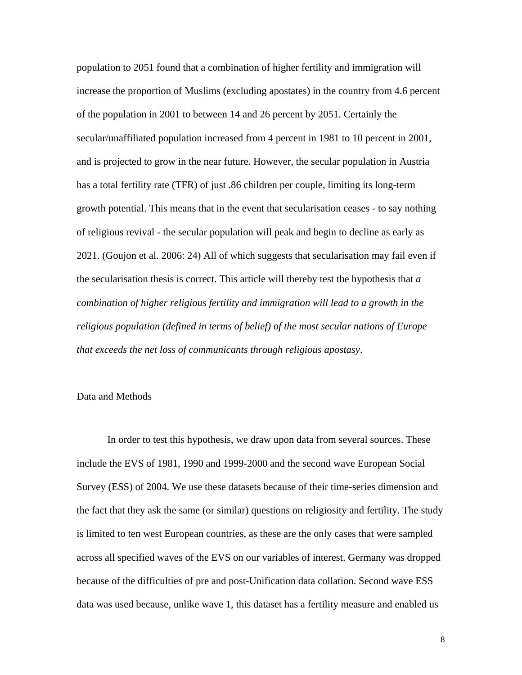population to 2051 found that a combination of higher fertility and immigration will increase the proportion of Muslims (excluding apostates) in the country from 4.6 percent of the population in 2001 to between 14 and 26 percent by 2051. Certainly the secular/unaffiliated population increased from 4 percent in 1981 to 10 percent in 2001, and is projected to grow in the near future. However, the secular population in Austria has a total fertility rate (TFR) of just .86 children per couple, limiting its long-term growth potential. This means that in the event that secularisation ceases - to say nothing of religious revival - the secular population will peak and begin to decline as early as 2021. (Goujon et al. 2006: 24) All of which suggests that secularisation may fail even if the secularisation thesis is correct. This article will thereby test the hypothesis that *a combination of higher religious fertility and immigration will lead to a growth in the religious population (defined in terms of belief) of the most secular nations of Europe that exceeds the net loss of communicants through religious apostasy*.

## Data and Methods

 In order to test this hypothesis, we draw upon data from several sources. These include the EVS of 1981, 1990 and 1999-2000 and the second wave European Social Survey (ESS) of 2004. We use these datasets because of their time-series dimension and the fact that they ask the same (or similar) questions on religiosity and fertility. The study is limited to ten west European countries, as these are the only cases that were sampled across all specified waves of the EVS on our variables of interest. Germany was dropped because of the difficulties of pre and post-Unification data collation. Second wave ESS data was used because, unlike wave 1, this dataset has a fertility measure and enabled us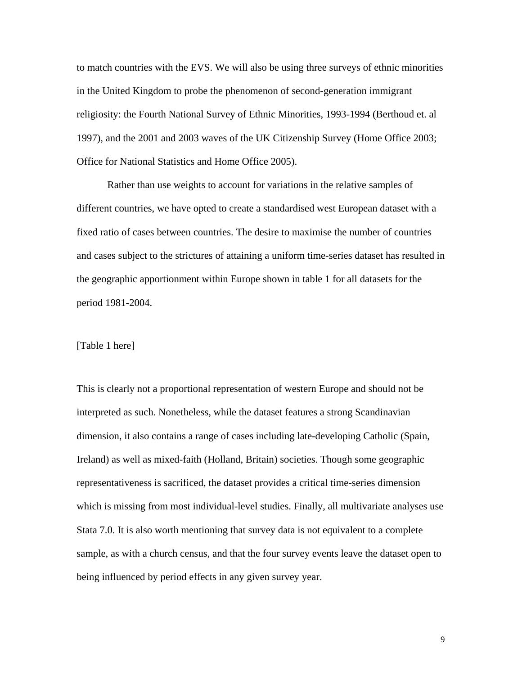to match countries with the EVS. We will also be using three surveys of ethnic minorities in the United Kingdom to probe the phenomenon of second-generation immigrant religiosity: the Fourth National Survey of Ethnic Minorities, 1993-1994 (Berthoud et. al 1997), and the 2001 and 2003 waves of the UK Citizenship Survey (Home Office 2003; Office for National Statistics and Home Office 2005).

Rather than use weights to account for variations in the relative samples of different countries, we have opted to create a standardised west European dataset with a fixed ratio of cases between countries. The desire to maximise the number of countries and cases subject to the strictures of attaining a uniform time-series dataset has resulted in the geographic apportionment within Europe shown in table 1 for all datasets for the period 1981-2004.

# [Table 1 here]

This is clearly not a proportional representation of western Europe and should not be interpreted as such. Nonetheless, while the dataset features a strong Scandinavian dimension, it also contains a range of cases including late-developing Catholic (Spain, Ireland) as well as mixed-faith (Holland, Britain) societies. Though some geographic representativeness is sacrificed, the dataset provides a critical time-series dimension which is missing from most individual-level studies. Finally, all multivariate analyses use Stata 7.0. It is also worth mentioning that survey data is not equivalent to a complete sample, as with a church census, and that the four survey events leave the dataset open to being influenced by period effects in any given survey year.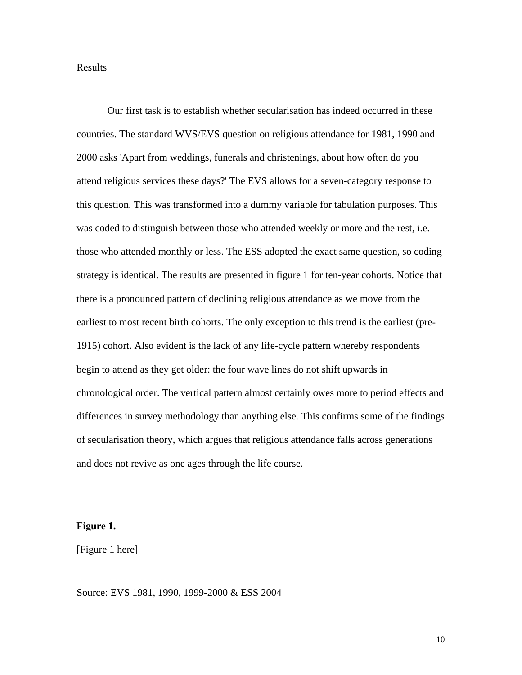## Results

 Our first task is to establish whether secularisation has indeed occurred in these countries. The standard WVS/EVS question on religious attendance for 1981, 1990 and 2000 asks 'Apart from weddings, funerals and christenings, about how often do you attend religious services these days?' The EVS allows for a seven-category response to this question. This was transformed into a dummy variable for tabulation purposes. This was coded to distinguish between those who attended weekly or more and the rest, i.e. those who attended monthly or less. The ESS adopted the exact same question, so coding strategy is identical. The results are presented in figure 1 for ten-year cohorts. Notice that there is a pronounced pattern of declining religious attendance as we move from the earliest to most recent birth cohorts. The only exception to this trend is the earliest (pre-1915) cohort. Also evident is the lack of any life-cycle pattern whereby respondents begin to attend as they get older: the four wave lines do not shift upwards in chronological order. The vertical pattern almost certainly owes more to period effects and differences in survey methodology than anything else. This confirms some of the findings of secularisation theory, which argues that religious attendance falls across generations and does not revive as one ages through the life course.

## **Figure 1.**

[Figure 1 here]

Source: EVS 1981, 1990, 1999-2000 & ESS 2004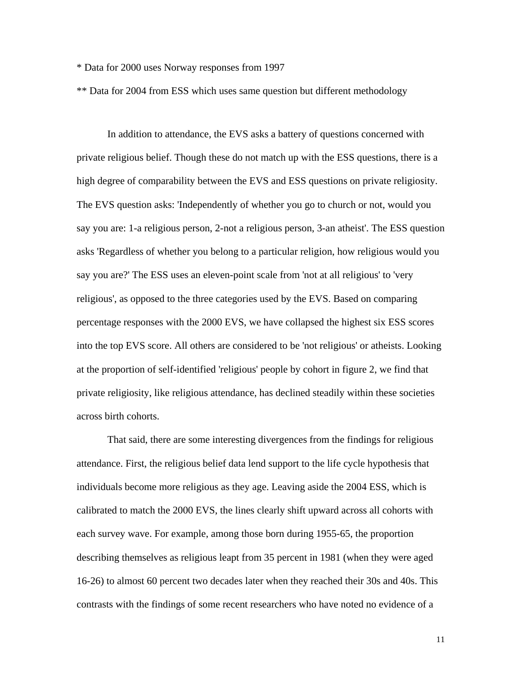\* Data for 2000 uses Norway responses from 1997

\*\* Data for 2004 from ESS which uses same question but different methodology

In addition to attendance, the EVS asks a battery of questions concerned with private religious belief. Though these do not match up with the ESS questions, there is a high degree of comparability between the EVS and ESS questions on private religiosity. The EVS question asks: 'Independently of whether you go to church or not, would you say you are: 1-a religious person, 2-not a religious person, 3-an atheist'. The ESS question asks 'Regardless of whether you belong to a particular religion, how religious would you say you are?' The ESS uses an eleven-point scale from 'not at all religious' to 'very religious', as opposed to the three categories used by the EVS. Based on comparing percentage responses with the 2000 EVS, we have collapsed the highest six ESS scores into the top EVS score. All others are considered to be 'not religious' or atheists. Looking at the proportion of self-identified 'religious' people by cohort in figure 2, we find that private religiosity, like religious attendance, has declined steadily within these societies across birth cohorts.

That said, there are some interesting divergences from the findings for religious attendance. First, the religious belief data lend support to the life cycle hypothesis that individuals become more religious as they age. Leaving aside the 2004 ESS, which is calibrated to match the 2000 EVS, the lines clearly shift upward across all cohorts with each survey wave. For example, among those born during 1955-65, the proportion describing themselves as religious leapt from 35 percent in 1981 (when they were aged 16-26) to almost 60 percent two decades later when they reached their 30s and 40s. This contrasts with the findings of some recent researchers who have noted no evidence of a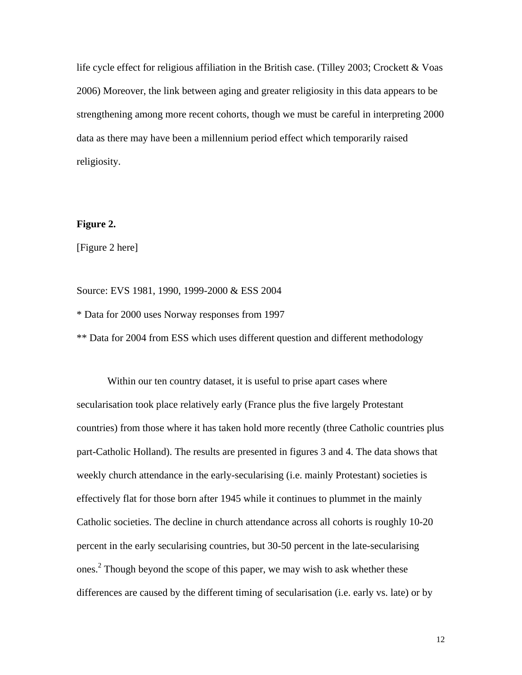life cycle effect for religious affiliation in the British case. (Tilley 2003; Crockett & Voas 2006) Moreover, the link between aging and greater religiosity in this data appears to be strengthening among more recent cohorts, though we must be careful in interpreting 2000 data as there may have been a millennium period effect which temporarily raised religiosity.

# **Figure 2.**

[Figure 2 here]

Source: EVS 1981, 1990, 1999-2000 & ESS 2004

\* Data for 2000 uses Norway responses from 1997

\*\* Data for 2004 from ESS which uses different question and different methodology

 Within our ten country dataset, it is useful to prise apart cases where secularisation took place relatively early (France plus the five largely Protestant countries) from those where it has taken hold more recently (three Catholic countries plus part-Catholic Holland). The results are presented in figures 3 and 4. The data shows that weekly church attendance in the early-secularising (i.e. mainly Protestant) societies is effectively flat for those born after 1945 while it continues to plummet in the mainly Catholic societies. The decline in church attendance across all cohorts is roughly 10-20 percent in the early secularising countries, but 30-50 percent in the late-secularising ones.<sup>2</sup> Though beyond the scope of this paper, we may wish to ask whether these differences are caused by the different timing of secularisation (i.e. early vs. late) or by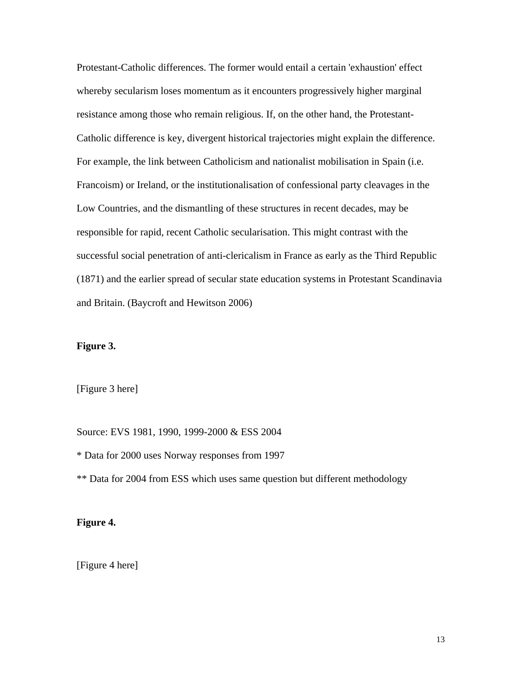Protestant-Catholic differences. The former would entail a certain 'exhaustion' effect whereby secularism loses momentum as it encounters progressively higher marginal resistance among those who remain religious. If, on the other hand, the Protestant-Catholic difference is key, divergent historical trajectories might explain the difference. For example, the link between Catholicism and nationalist mobilisation in Spain (i.e. Francoism) or Ireland, or the institutionalisation of confessional party cleavages in the Low Countries, and the dismantling of these structures in recent decades, may be responsible for rapid, recent Catholic secularisation. This might contrast with the successful social penetration of anti-clericalism in France as early as the Third Republic (1871) and the earlier spread of secular state education systems in Protestant Scandinavia and Britain. (Baycroft and Hewitson 2006)

## **Figure 3.**

[Figure 3 here]

Source: EVS 1981, 1990, 1999-2000 & ESS 2004

\* Data for 2000 uses Norway responses from 1997

\*\* Data for 2004 from ESS which uses same question but different methodology

# **Figure 4.**

[Figure 4 here]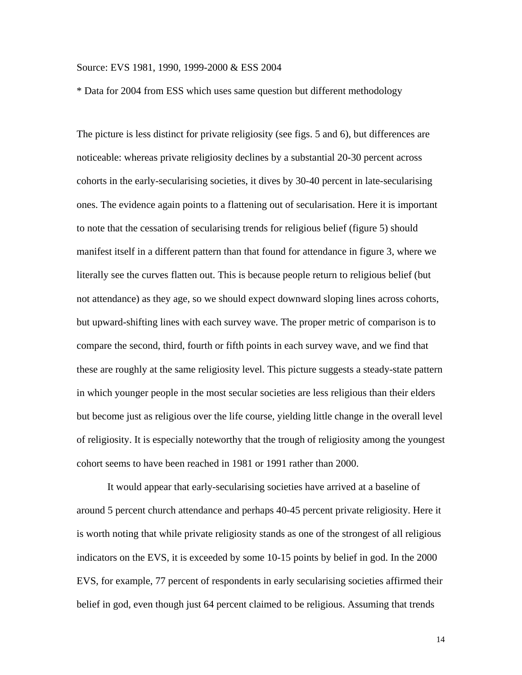### Source: EVS 1981, 1990, 1999-2000 & ESS 2004

\* Data for 2004 from ESS which uses same question but different methodology

The picture is less distinct for private religiosity (see figs. 5 and 6), but differences are noticeable: whereas private religiosity declines by a substantial 20-30 percent across cohorts in the early-secularising societies, it dives by 30-40 percent in late-secularising ones. The evidence again points to a flattening out of secularisation. Here it is important to note that the cessation of secularising trends for religious belief (figure 5) should manifest itself in a different pattern than that found for attendance in figure 3, where we literally see the curves flatten out. This is because people return to religious belief (but not attendance) as they age, so we should expect downward sloping lines across cohorts, but upward-shifting lines with each survey wave. The proper metric of comparison is to compare the second, third, fourth or fifth points in each survey wave, and we find that these are roughly at the same religiosity level. This picture suggests a steady-state pattern in which younger people in the most secular societies are less religious than their elders but become just as religious over the life course, yielding little change in the overall level of religiosity. It is especially noteworthy that the trough of religiosity among the youngest cohort seems to have been reached in 1981 or 1991 rather than 2000.

It would appear that early-secularising societies have arrived at a baseline of around 5 percent church attendance and perhaps 40-45 percent private religiosity. Here it is worth noting that while private religiosity stands as one of the strongest of all religious indicators on the EVS, it is exceeded by some 10-15 points by belief in god. In the 2000 EVS, for example, 77 percent of respondents in early secularising societies affirmed their belief in god, even though just 64 percent claimed to be religious. Assuming that trends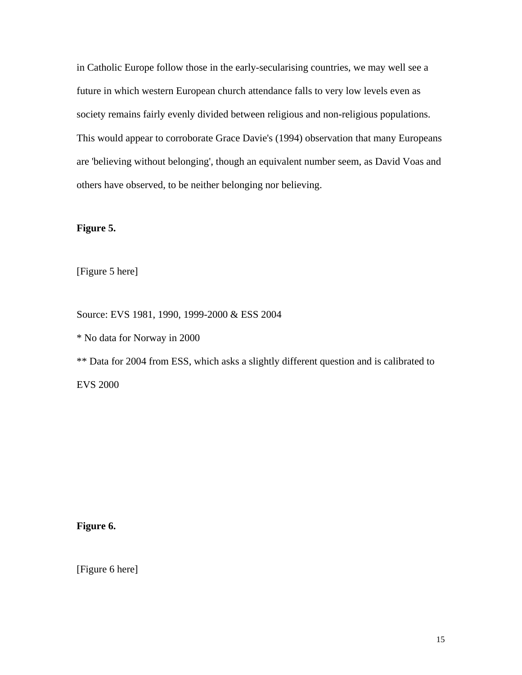in Catholic Europe follow those in the early-secularising countries, we may well see a future in which western European church attendance falls to very low levels even as society remains fairly evenly divided between religious and non-religious populations. This would appear to corroborate Grace Davie's (1994) observation that many Europeans are 'believing without belonging', though an equivalent number seem, as David Voas and others have observed, to be neither belonging nor believing.

# **Figure 5.**

[Figure 5 here]

Source: EVS 1981, 1990, 1999-2000 & ESS 2004

\* No data for Norway in 2000

\*\* Data for 2004 from ESS, which asks a slightly different question and is calibrated to EVS 2000

**Figure 6.** 

[Figure 6 here]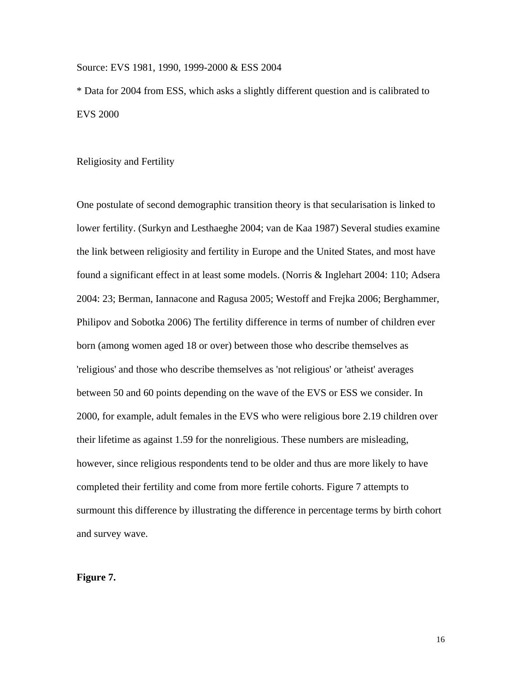## Source: EVS 1981, 1990, 1999-2000 & ESS 2004

\* Data for 2004 from ESS, which asks a slightly different question and is calibrated to EVS 2000

## Religiosity and Fertility

One postulate of second demographic transition theory is that secularisation is linked to lower fertility. (Surkyn and Lesthaeghe 2004; van de Kaa 1987) Several studies examine the link between religiosity and fertility in Europe and the United States, and most have found a significant effect in at least some models. (Norris & Inglehart 2004: 110; Adsera 2004: 23; Berman, Iannacone and Ragusa 2005; Westoff and Frejka 2006; Berghammer, Philipov and Sobotka 2006) The fertility difference in terms of number of children ever born (among women aged 18 or over) between those who describe themselves as 'religious' and those who describe themselves as 'not religious' or 'atheist' averages between 50 and 60 points depending on the wave of the EVS or ESS we consider. In 2000, for example, adult females in the EVS who were religious bore 2.19 children over their lifetime as against 1.59 for the nonreligious. These numbers are misleading, however, since religious respondents tend to be older and thus are more likely to have completed their fertility and come from more fertile cohorts. Figure 7 attempts to surmount this difference by illustrating the difference in percentage terms by birth cohort and survey wave.

# **Figure 7.**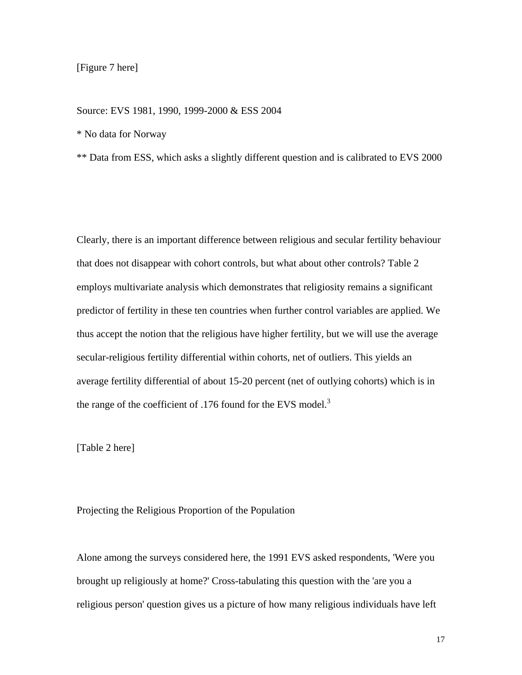# [Figure 7 here]

#### Source: EVS 1981, 1990, 1999-2000 & ESS 2004

\* No data for Norway

\*\* Data from ESS, which asks a slightly different question and is calibrated to EVS 2000

Clearly, there is an important difference between religious and secular fertility behaviour that does not disappear with cohort controls, but what about other controls? Table 2 employs multivariate analysis which demonstrates that religiosity remains a significant predictor of fertility in these ten countries when further control variables are applied. We thus accept the notion that the religious have higher fertility, but we will use the average secular-religious fertility differential within cohorts, net of outliers. This yields an average fertility differential of about 15-20 percent (net of outlying cohorts) which is in the range of the coefficient of .176 found for the EVS model. $3$ 

[Table 2 here]

# Projecting the Religious Proportion of the Population

Alone among the surveys considered here, the 1991 EVS asked respondents, 'Were you brought up religiously at home?' Cross-tabulating this question with the 'are you a religious person' question gives us a picture of how many religious individuals have left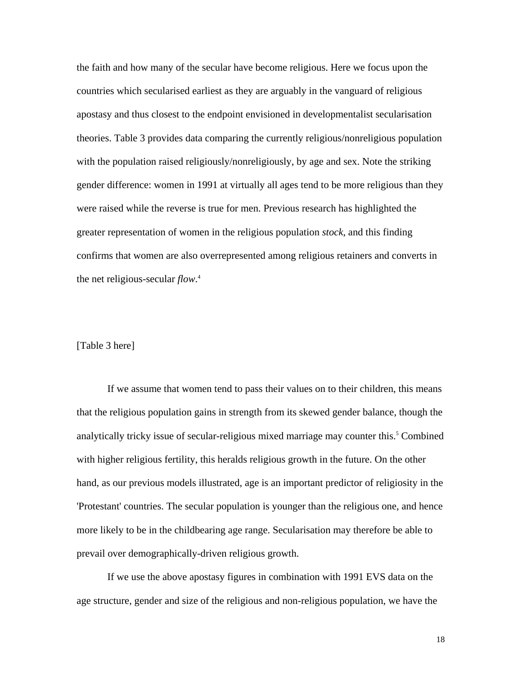the faith and how many of the secular have become religious. Here we focus upon the countries which secularised earliest as they are arguably in the vanguard of religious apostasy and thus closest to the endpoint envisioned in developmentalist secularisation theories. Table 3 provides data comparing the currently religious/nonreligious population with the population raised religiously/nonreligiously, by age and sex. Note the striking gender difference: women in 1991 at virtually all ages tend to be more religious than they were raised while the reverse is true for men. Previous research has highlighted the greater representation of women in the religious population *stock*, and this finding confirms that women are also overrepresented among religious retainers and converts in the net religious-secular *flow*. 4

# [Table 3 here]

If we assume that women tend to pass their values on to their children, this means that the religious population gains in strength from its skewed gender balance, though the analytically tricky issue of secular-religious mixed marriage may counter this.<sup>5</sup> Combined with higher religious fertility, this heralds religious growth in the future. On the other hand, as our previous models illustrated, age is an important predictor of religiosity in the 'Protestant' countries. The secular population is younger than the religious one, and hence more likely to be in the childbearing age range. Secularisation may therefore be able to prevail over demographically-driven religious growth.

 If we use the above apostasy figures in combination with 1991 EVS data on the age structure, gender and size of the religious and non-religious population, we have the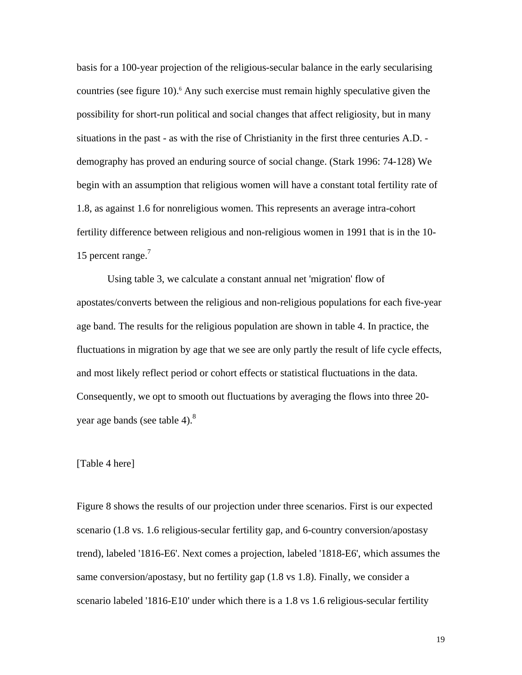basis for a 100-year projection of the religious-secular balance in the early secularising countries (see figure 10).<sup>6</sup> Any such exercise must remain highly speculative given the possibility for short-run political and social changes that affect religiosity, but in many situations in the past - as with the rise of Christianity in the first three centuries A.D. demography has proved an enduring source of social change. (Stark 1996: 74-128) We begin with an assumption that religious women will have a constant total fertility rate of 1.8, as against 1.6 for nonreligious women. This represents an average intra-cohort fertility difference between religious and non-religious women in 1991 that is in the 10- 15 percent range.<sup>7</sup>

Using table 3, we calculate a constant annual net 'migration' flow of apostates/converts between the religious and non-religious populations for each five-year age band. The results for the religious population are shown in table 4. In practice, the fluctuations in migration by age that we see are only partly the result of life cycle effects, and most likely reflect period or cohort effects or statistical fluctuations in the data. Consequently, we opt to smooth out fluctuations by averaging the flows into three 20 year age bands (see table 4).<sup>8</sup>

#### [Table 4 here]

Figure 8 shows the results of our projection under three scenarios. First is our expected scenario (1.8 vs. 1.6 religious-secular fertility gap, and 6-country conversion/apostasy trend), labeled '1816-E6'. Next comes a projection, labeled '1818-E6', which assumes the same conversion/apostasy, but no fertility gap (1.8 vs 1.8). Finally, we consider a scenario labeled '1816-E10' under which there is a 1.8 vs 1.6 religious-secular fertility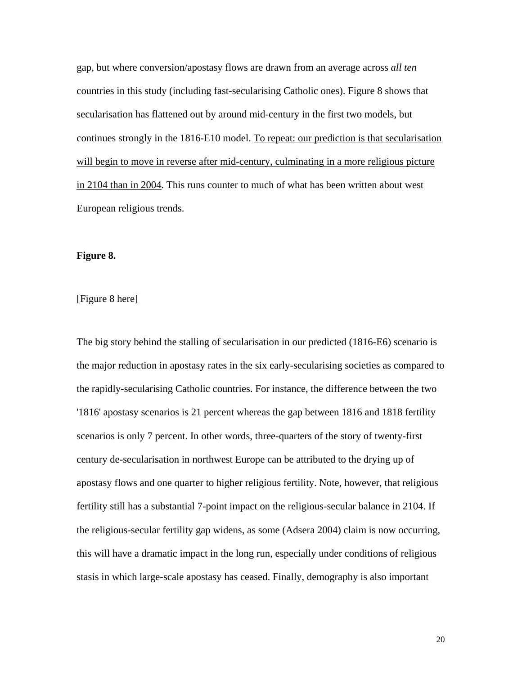gap, but where conversion/apostasy flows are drawn from an average across *all ten*  countries in this study (including fast-secularising Catholic ones). Figure 8 shows that secularisation has flattened out by around mid-century in the first two models, but continues strongly in the 1816-E10 model. To repeat: our prediction is that secularisation will begin to move in reverse after mid-century, culminating in a more religious picture in 2104 than in 2004. This runs counter to much of what has been written about west European religious trends.

# **Figure 8.**

[Figure 8 here]

The big story behind the stalling of secularisation in our predicted (1816-E6) scenario is the major reduction in apostasy rates in the six early-secularising societies as compared to the rapidly-secularising Catholic countries. For instance, the difference between the two '1816' apostasy scenarios is 21 percent whereas the gap between 1816 and 1818 fertility scenarios is only 7 percent. In other words, three-quarters of the story of twenty-first century de-secularisation in northwest Europe can be attributed to the drying up of apostasy flows and one quarter to higher religious fertility. Note, however, that religious fertility still has a substantial 7-point impact on the religious-secular balance in 2104. If the religious-secular fertility gap widens, as some (Adsera 2004) claim is now occurring, this will have a dramatic impact in the long run, especially under conditions of religious stasis in which large-scale apostasy has ceased. Finally, demography is also important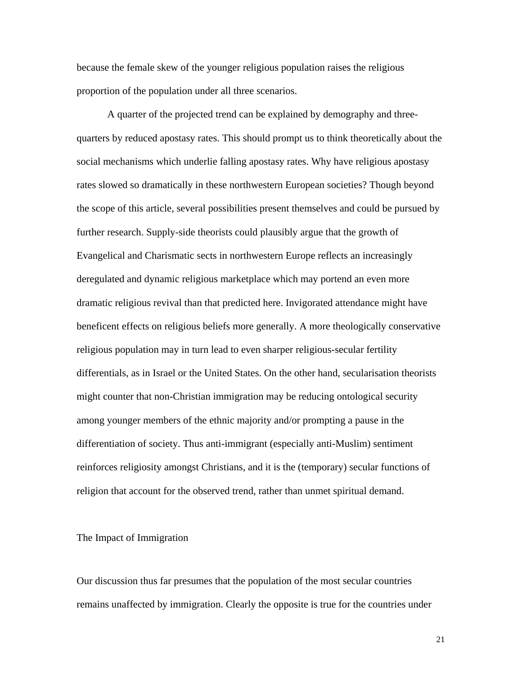because the female skew of the younger religious population raises the religious proportion of the population under all three scenarios.

A quarter of the projected trend can be explained by demography and threequarters by reduced apostasy rates. This should prompt us to think theoretically about the social mechanisms which underlie falling apostasy rates. Why have religious apostasy rates slowed so dramatically in these northwestern European societies? Though beyond the scope of this article, several possibilities present themselves and could be pursued by further research. Supply-side theorists could plausibly argue that the growth of Evangelical and Charismatic sects in northwestern Europe reflects an increasingly deregulated and dynamic religious marketplace which may portend an even more dramatic religious revival than that predicted here. Invigorated attendance might have beneficent effects on religious beliefs more generally. A more theologically conservative religious population may in turn lead to even sharper religious-secular fertility differentials, as in Israel or the United States. On the other hand, secularisation theorists might counter that non-Christian immigration may be reducing ontological security among younger members of the ethnic majority and/or prompting a pause in the differentiation of society. Thus anti-immigrant (especially anti-Muslim) sentiment reinforces religiosity amongst Christians, and it is the (temporary) secular functions of religion that account for the observed trend, rather than unmet spiritual demand.

#### The Impact of Immigration

Our discussion thus far presumes that the population of the most secular countries remains unaffected by immigration. Clearly the opposite is true for the countries under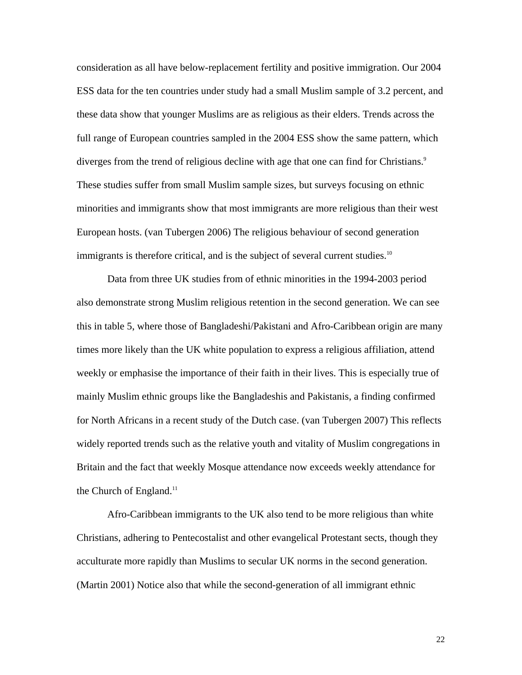consideration as all have below-replacement fertility and positive immigration. Our 2004 ESS data for the ten countries under study had a small Muslim sample of 3.2 percent, and these data show that younger Muslims are as religious as their elders. Trends across the full range of European countries sampled in the 2004 ESS show the same pattern, which diverges from the trend of religious decline with age that one can find for Christians.<sup>9</sup> These studies suffer from small Muslim sample sizes, but surveys focusing on ethnic minorities and immigrants show that most immigrants are more religious than their west European hosts. (van Tubergen 2006) The religious behaviour of second generation immigrants is therefore critical, and is the subject of several current studies.<sup>10</sup>

Data from three UK studies from of ethnic minorities in the 1994-2003 period also demonstrate strong Muslim religious retention in the second generation. We can see this in table 5, where those of Bangladeshi/Pakistani and Afro-Caribbean origin are many times more likely than the UK white population to express a religious affiliation, attend weekly or emphasise the importance of their faith in their lives. This is especially true of mainly Muslim ethnic groups like the Bangladeshis and Pakistanis, a finding confirmed for North Africans in a recent study of the Dutch case. (van Tubergen 2007) This reflects widely reported trends such as the relative youth and vitality of Muslim congregations in Britain and the fact that weekly Mosque attendance now exceeds weekly attendance for the Church of England. $11$ 

Afro-Caribbean immigrants to the UK also tend to be more religious than white Christians, adhering to Pentecostalist and other evangelical Protestant sects, though they acculturate more rapidly than Muslims to secular UK norms in the second generation. (Martin 2001) Notice also that while the second-generation of all immigrant ethnic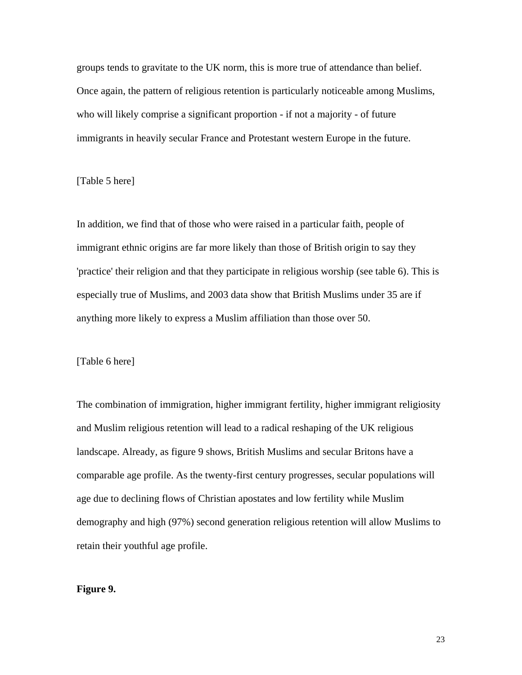groups tends to gravitate to the UK norm, this is more true of attendance than belief. Once again, the pattern of religious retention is particularly noticeable among Muslims, who will likely comprise a significant proportion - if not a majority - of future immigrants in heavily secular France and Protestant western Europe in the future.

# [Table 5 here]

In addition, we find that of those who were raised in a particular faith, people of immigrant ethnic origins are far more likely than those of British origin to say they 'practice' their religion and that they participate in religious worship (see table 6). This is especially true of Muslims, and 2003 data show that British Muslims under 35 are if anything more likely to express a Muslim affiliation than those over 50.

# [Table 6 here]

The combination of immigration, higher immigrant fertility, higher immigrant religiosity and Muslim religious retention will lead to a radical reshaping of the UK religious landscape. Already, as figure 9 shows, British Muslims and secular Britons have a comparable age profile. As the twenty-first century progresses, secular populations will age due to declining flows of Christian apostates and low fertility while Muslim demography and high (97%) second generation religious retention will allow Muslims to retain their youthful age profile.

## **Figure 9.**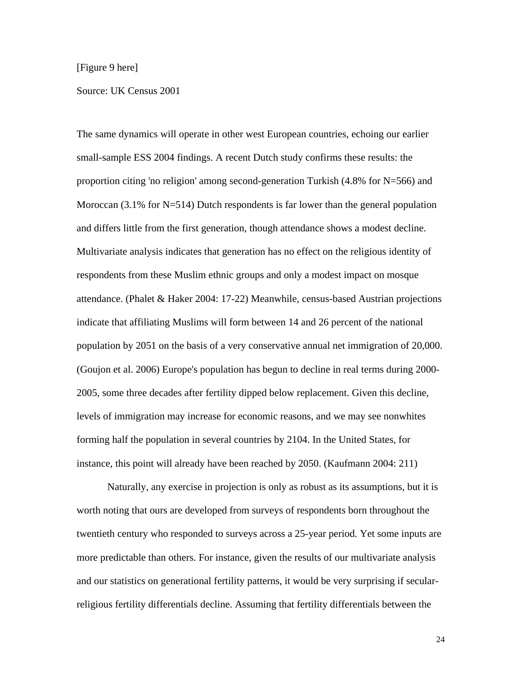# [Figure 9 here]

#### Source: UK Census 2001

The same dynamics will operate in other west European countries, echoing our earlier small-sample ESS 2004 findings. A recent Dutch study confirms these results: the proportion citing 'no religion' among second-generation Turkish (4.8% for N=566) and Moroccan  $(3.1\%$  for N=514) Dutch respondents is far lower than the general population and differs little from the first generation, though attendance shows a modest decline. Multivariate analysis indicates that generation has no effect on the religious identity of respondents from these Muslim ethnic groups and only a modest impact on mosque attendance. (Phalet & Haker 2004: 17-22) Meanwhile, census-based Austrian projections indicate that affiliating Muslims will form between 14 and 26 percent of the national population by 2051 on the basis of a very conservative annual net immigration of 20,000. (Goujon et al. 2006) Europe's population has begun to decline in real terms during 2000- 2005, some three decades after fertility dipped below replacement. Given this decline, levels of immigration may increase for economic reasons, and we may see nonwhites forming half the population in several countries by 2104. In the United States, for instance, this point will already have been reached by 2050. (Kaufmann 2004: 211)

Naturally, any exercise in projection is only as robust as its assumptions, but it is worth noting that ours are developed from surveys of respondents born throughout the twentieth century who responded to surveys across a 25-year period. Yet some inputs are more predictable than others. For instance, given the results of our multivariate analysis and our statistics on generational fertility patterns, it would be very surprising if secularreligious fertility differentials decline. Assuming that fertility differentials between the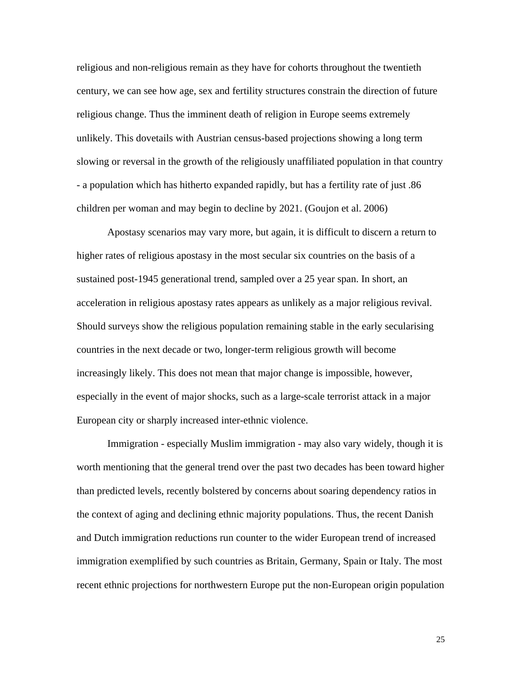religious and non-religious remain as they have for cohorts throughout the twentieth century, we can see how age, sex and fertility structures constrain the direction of future religious change. Thus the imminent death of religion in Europe seems extremely unlikely. This dovetails with Austrian census-based projections showing a long term slowing or reversal in the growth of the religiously unaffiliated population in that country - a population which has hitherto expanded rapidly, but has a fertility rate of just .86 children per woman and may begin to decline by 2021. (Goujon et al. 2006)

Apostasy scenarios may vary more, but again, it is difficult to discern a return to higher rates of religious apostasy in the most secular six countries on the basis of a sustained post-1945 generational trend, sampled over a 25 year span. In short, an acceleration in religious apostasy rates appears as unlikely as a major religious revival. Should surveys show the religious population remaining stable in the early secularising countries in the next decade or two, longer-term religious growth will become increasingly likely. This does not mean that major change is impossible, however, especially in the event of major shocks, such as a large-scale terrorist attack in a major European city or sharply increased inter-ethnic violence.

Immigration - especially Muslim immigration - may also vary widely, though it is worth mentioning that the general trend over the past two decades has been toward higher than predicted levels, recently bolstered by concerns about soaring dependency ratios in the context of aging and declining ethnic majority populations. Thus, the recent Danish and Dutch immigration reductions run counter to the wider European trend of increased immigration exemplified by such countries as Britain, Germany, Spain or Italy. The most recent ethnic projections for northwestern Europe put the non-European origin population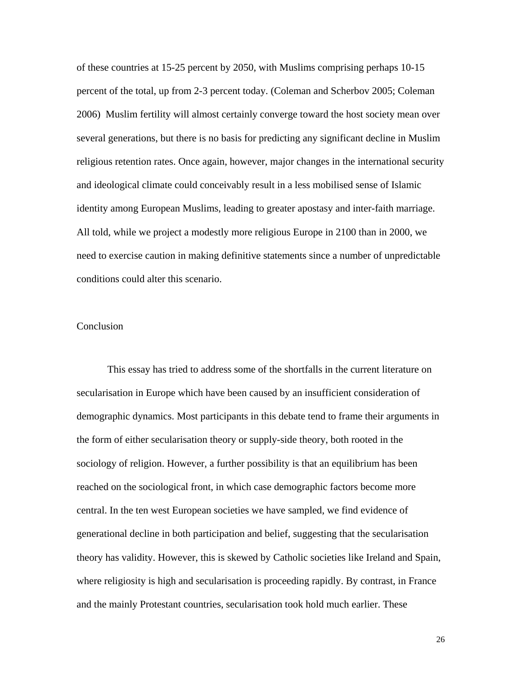of these countries at 15-25 percent by 2050, with Muslims comprising perhaps 10-15 percent of the total, up from 2-3 percent today. (Coleman and Scherbov 2005; Coleman 2006) Muslim fertility will almost certainly converge toward the host society mean over several generations, but there is no basis for predicting any significant decline in Muslim religious retention rates. Once again, however, major changes in the international security and ideological climate could conceivably result in a less mobilised sense of Islamic identity among European Muslims, leading to greater apostasy and inter-faith marriage. All told, while we project a modestly more religious Europe in 2100 than in 2000, we need to exercise caution in making definitive statements since a number of unpredictable conditions could alter this scenario.

# Conclusion

 This essay has tried to address some of the shortfalls in the current literature on secularisation in Europe which have been caused by an insufficient consideration of demographic dynamics. Most participants in this debate tend to frame their arguments in the form of either secularisation theory or supply-side theory, both rooted in the sociology of religion. However, a further possibility is that an equilibrium has been reached on the sociological front, in which case demographic factors become more central. In the ten west European societies we have sampled, we find evidence of generational decline in both participation and belief, suggesting that the secularisation theory has validity. However, this is skewed by Catholic societies like Ireland and Spain, where religiosity is high and secularisation is proceeding rapidly. By contrast, in France and the mainly Protestant countries, secularisation took hold much earlier. These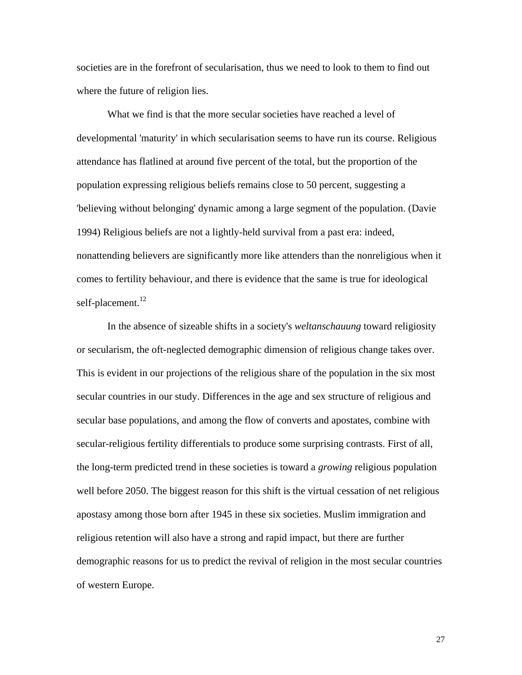societies are in the forefront of secularisation, thus we need to look to them to find out where the future of religion lies.

What we find is that the more secular societies have reached a level of developmental 'maturity' in which secularisation seems to have run its course. Religious attendance has flatlined at around five percent of the total, but the proportion of the population expressing religious beliefs remains close to 50 percent, suggesting a 'believing without belonging' dynamic among a large segment of the population. (Davie 1994) Religious beliefs are not a lightly-held survival from a past era: indeed, nonattending believers are significantly more like attenders than the nonreligious when it comes to fertility behaviour, and there is evidence that the same is true for ideological self-placement.<sup>12</sup>

In the absence of sizeable shifts in a society's *weltanschauung* toward religiosity or secularism, the oft-neglected demographic dimension of religious change takes over. This is evident in our projections of the religious share of the population in the six most secular countries in our study. Differences in the age and sex structure of religious and secular base populations, and among the flow of converts and apostates, combine with secular-religious fertility differentials to produce some surprising contrasts. First of all, the long-term predicted trend in these societies is toward a *growing* religious population well before 2050. The biggest reason for this shift is the virtual cessation of net religious apostasy among those born after 1945 in these six societies. Muslim immigration and religious retention will also have a strong and rapid impact, but there are further demographic reasons for us to predict the revival of religion in the most secular countries of western Europe.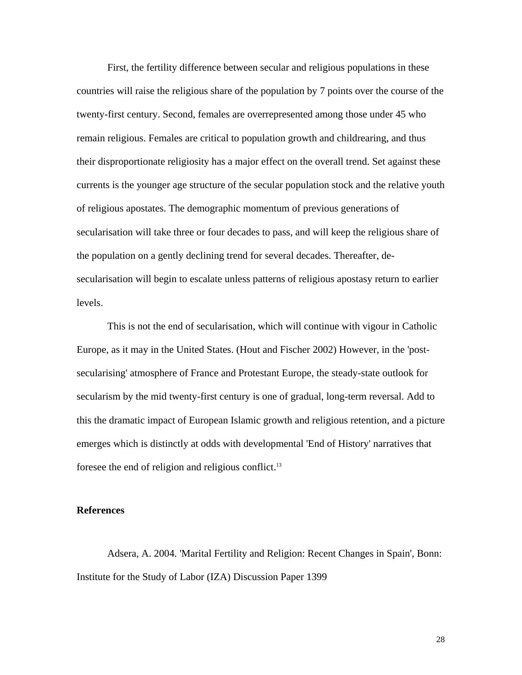First, the fertility difference between secular and religious populations in these countries will raise the religious share of the population by 7 points over the course of the twenty-first century. Second, females are overrepresented among those under 45 who remain religious. Females are critical to population growth and childrearing, and thus their disproportionate religiosity has a major effect on the overall trend. Set against these currents is the younger age structure of the secular population stock and the relative youth of religious apostates. The demographic momentum of previous generations of secularisation will take three or four decades to pass, and will keep the religious share of the population on a gently declining trend for several decades. Thereafter, desecularisation will begin to escalate unless patterns of religious apostasy return to earlier levels.

This is not the end of secularisation, which will continue with vigour in Catholic Europe, as it may in the United States. (Hout and Fischer 2002) However, in the 'postsecularising' atmosphere of France and Protestant Europe, the steady-state outlook for secularism by the mid twenty-first century is one of gradual, long-term reversal. Add to this the dramatic impact of European Islamic growth and religious retention, and a picture emerges which is distinctly at odds with developmental 'End of History' narratives that foresee the end of religion and religious conflict.13

# **References**

Adsera, A. 2004. 'Marital Fertility and Religion: Recent Changes in Spain', Bonn: Institute for the Study of Labor (IZA) Discussion Paper 1399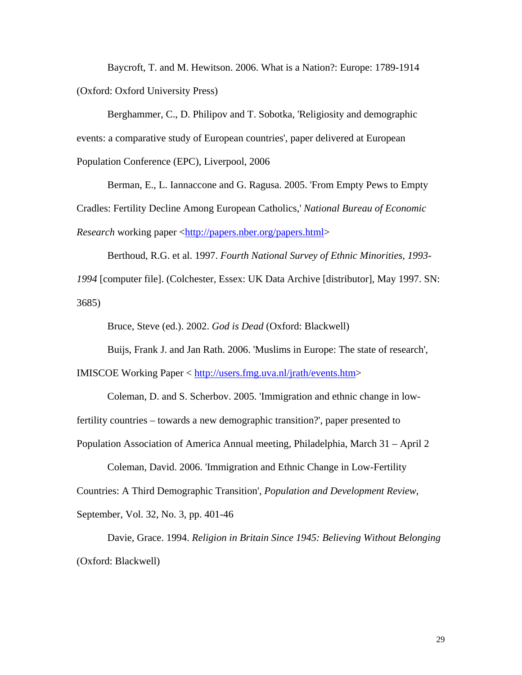Baycroft, T. and M. Hewitson. 2006. What is a Nation?: Europe: 1789-1914 (Oxford: Oxford University Press)

Berghammer, C., D. Philipov and T. Sobotka, 'Religiosity and demographic events: a comparative study of European countries', paper delivered at European Population Conference (EPC), Liverpool, 2006

Berman, E., L. Iannaccone and G. Ragusa. 2005. 'From Empty Pews to Empty Cradles: Fertility Decline Among European Catholics,' *National Bureau of Economic Research* working paper <http://papers.nber.org/papers.html>

Berthoud, R.G. et al. 1997. *Fourth National Survey of Ethnic Minorities, 1993- 1994* [computer file]. (Colchester, Essex: UK Data Archive [distributor], May 1997. SN: 3685)

Bruce, Steve (ed.). 2002. *God is Dead* (Oxford: Blackwell)

Buijs, Frank J. and Jan Rath. 2006. 'Muslims in Europe: The state of research',

IMISCOE Working Paper < http://users.fmg.uva.nl/jrath/events.htm>

Coleman, D. and S. Scherbov. 2005. 'Immigration and ethnic change in lowfertility countries – towards a new demographic transition?', paper presented to Population Association of America Annual meeting, Philadelphia, March 31 – April 2

Coleman, David. 2006. 'Immigration and Ethnic Change in Low-Fertility Countries: A Third Demographic Transition', *Population and Development Review*, September, Vol. 32, No. 3, pp. 401-46

Davie, Grace. 1994. *Religion in Britain Since 1945: Believing Without Belonging*  (Oxford: Blackwell)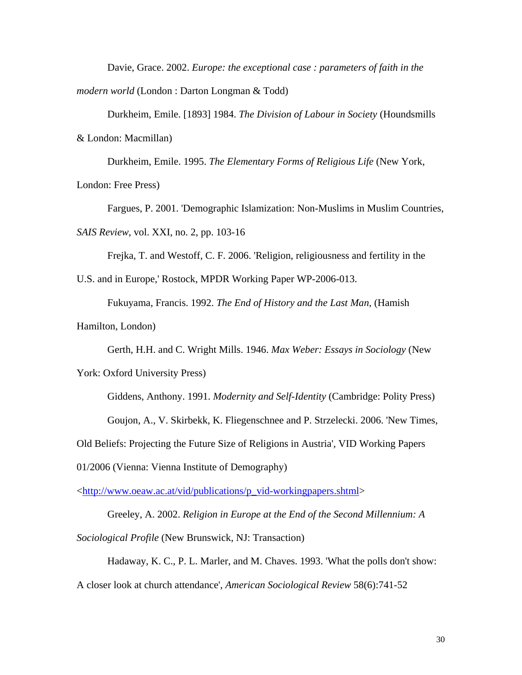Davie, Grace. 2002. *Europe: the exceptional case : parameters of faith in the modern world* (London : Darton Longman & Todd)

Durkheim, Emile. [1893] 1984. *The Division of Labour in Society* (Houndsmills & London: Macmillan)

Durkheim, Emile. 1995. *The Elementary Forms of Religious Life* (New York,

London: Free Press)

Fargues, P. 2001. 'Demographic Islamization: Non-Muslims in Muslim Countries, *SAIS Review*, vol. XXI, no. 2, pp. 103-16

Frejka, T. and Westoff, C. F. 2006. 'Religion, religiousness and fertility in the

U.S. and in Europe,' Rostock, MPDR Working Paper WP-2006-013.

Fukuyama, Francis. 1992. *The End of History and the Last Man*, (Hamish

Hamilton, London)

Gerth, H.H. and C. Wright Mills. 1946. *Max Weber: Essays in Sociology* (New

York: Oxford University Press)

Giddens, Anthony. 1991. *Modernity and Self-Identity* (Cambridge: Polity Press)

Goujon, A., V. Skirbekk, K. Fliegenschnee and P. Strzelecki. 2006. 'New Times,

Old Beliefs: Projecting the Future Size of Religions in Austria', VID Working Papers

01/2006 (Vienna: Vienna Institute of Demography)

<http://www.oeaw.ac.at/vid/publications/p\_vid-workingpapers.shtml>

Greeley, A. 2002. *Religion in Europe at the End of the Second Millennium: A Sociological Profile* (New Brunswick, NJ: Transaction)

Hadaway, K. C., P. L. Marler, and M. Chaves. 1993. 'What the polls don't show:

A closer look at church attendance', *American Sociological Review* 58(6):741-52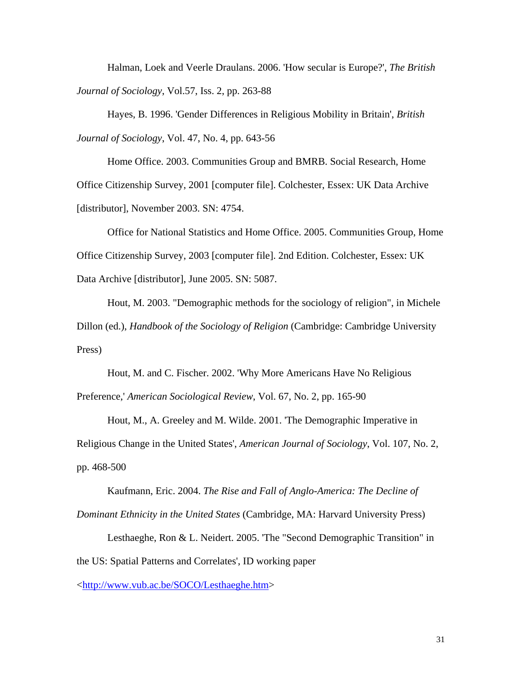Halman, Loek and Veerle Draulans. 2006. 'How secular is Europe?', *The British Journal of Sociology*, Vol.57, Iss. 2, pp. 263-88

Hayes, B. 1996. 'Gender Differences in Religious Mobility in Britain', *British Journal of Sociology*, Vol. 47, No. 4, pp. 643-56

Home Office. 2003. Communities Group and BMRB. Social Research, Home Office Citizenship Survey, 2001 [computer file]. Colchester, Essex: UK Data Archive [distributor], November 2003. SN: 4754.

Office for National Statistics and Home Office. 2005. Communities Group, Home Office Citizenship Survey, 2003 [computer file]. 2nd Edition. Colchester, Essex: UK Data Archive [distributor], June 2005. SN: 5087.

Hout, M. 2003. "Demographic methods for the sociology of religion", in Michele Dillon (ed.), *Handbook of the Sociology of Religion* (Cambridge: Cambridge University Press)

Hout, M. and C. Fischer. 2002. 'Why More Americans Have No Religious Preference,' *American Sociological Review*, Vol. 67, No. 2, pp. 165-90

Hout, M., A. Greeley and M. Wilde. 2001. 'The Demographic Imperative in Religious Change in the United States', *American Journal of Sociology*, Vol. 107, No. 2, pp. 468-500

Kaufmann, Eric. 2004. *The Rise and Fall of Anglo-America: The Decline of Dominant Ethnicity in the United States* (Cambridge, MA: Harvard University Press)

Lesthaeghe, Ron & L. Neidert. 2005. 'The "Second Demographic Transition" in the US: Spatial Patterns and Correlates', ID working paper

<http://www.vub.ac.be/SOCO/Lesthaeghe.htm>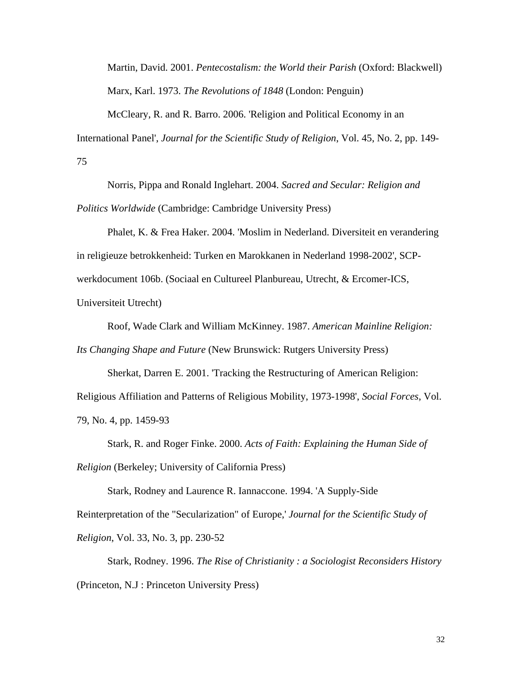Martin, David. 2001. *Pentecostalism: the World their Parish* (Oxford: Blackwell) Marx, Karl. 1973. *The Revolutions of 1848* (London: Penguin)

McCleary, R. and R. Barro. 2006. 'Religion and Political Economy in an International Panel', *Journal for the Scientific Study of Religion*, Vol. 45, No. 2, pp. 149- 75

Norris, Pippa and Ronald Inglehart. 2004. *Sacred and Secular: Religion and Politics Worldwide* (Cambridge: Cambridge University Press)

Phalet, K. & Frea Haker. 2004. 'Moslim in Nederland. Diversiteit en verandering in religieuze betrokkenheid: Turken en Marokkanen in Nederland 1998-2002', SCPwerkdocument 106b. (Sociaal en Cultureel Planbureau, Utrecht, & Ercomer-ICS, Universiteit Utrecht)

Roof, Wade Clark and William McKinney. 1987. *American Mainline Religion:* 

*Its Changing Shape and Future* (New Brunswick: Rutgers University Press)

Sherkat, Darren E. 2001. 'Tracking the Restructuring of American Religion: Religious Affiliation and Patterns of Religious Mobility, 1973-1998', *Social Forces*, Vol. 79, No. 4, pp. 1459-93

Stark, R. and Roger Finke. 2000. *Acts of Faith: Explaining the Human Side of Religion* (Berkeley; University of California Press)

Stark, Rodney and Laurence R. Iannaccone. 1994. 'A Supply-Side Reinterpretation of the "Secularization" of Europe,' *Journal for the Scientific Study of Religion*, Vol. 33, No. 3, pp. 230-52

Stark, Rodney. 1996. *The Rise of Christianity : a Sociologist Reconsiders History* (Princeton, N.J : Princeton University Press)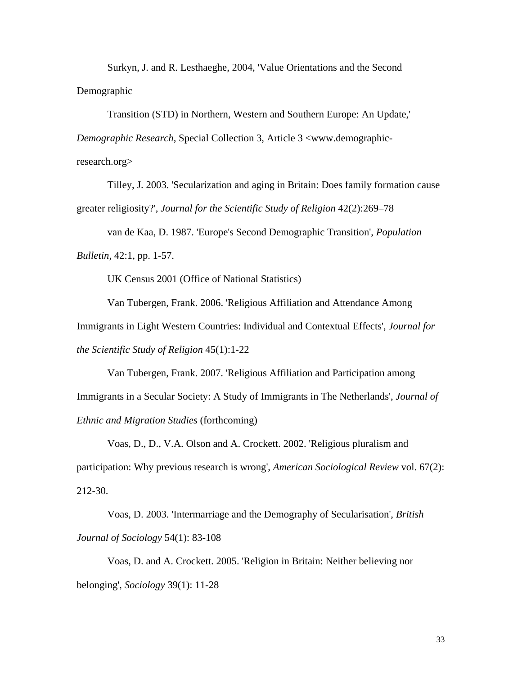Surkyn, J. and R. Lesthaeghe, 2004, 'Value Orientations and the Second Demographic

Transition (STD) in Northern, Western and Southern Europe: An Update,' *Demographic Research*, Special Collection 3, Article 3 <www.demographicresearch.org>

Tilley, J. 2003. 'Secularization and aging in Britain: Does family formation cause greater religiosity?', *Journal for the Scientific Study of Religion* 42(2):269–78

van de Kaa, D. 1987. 'Europe's Second Demographic Transition', *Population Bulletin*, 42:1, pp. 1-57.

UK Census 2001 (Office of National Statistics)

Van Tubergen, Frank. 2006. 'Religious Affiliation and Attendance Among Immigrants in Eight Western Countries: Individual and Contextual Effects', *Journal for the Scientific Study of Religion* 45(1):1-22

Van Tubergen, Frank. 2007. 'Religious Affiliation and Participation among Immigrants in a Secular Society: A Study of Immigrants in The Netherlands', *Journal of Ethnic and Migration Studies* (forthcoming)

Voas, D., D., V.A. Olson and A. Crockett. 2002. 'Religious pluralism and participation: Why previous research is wrong', *American Sociological Review* vol. 67(2): 212-30.

Voas, D. 2003. 'Intermarriage and the Demography of Secularisation', *British Journal of Sociology* 54(1): 83-108

Voas, D. and A. Crockett. 2005. 'Religion in Britain: Neither believing nor belonging', *Sociology* 39(1): 11-28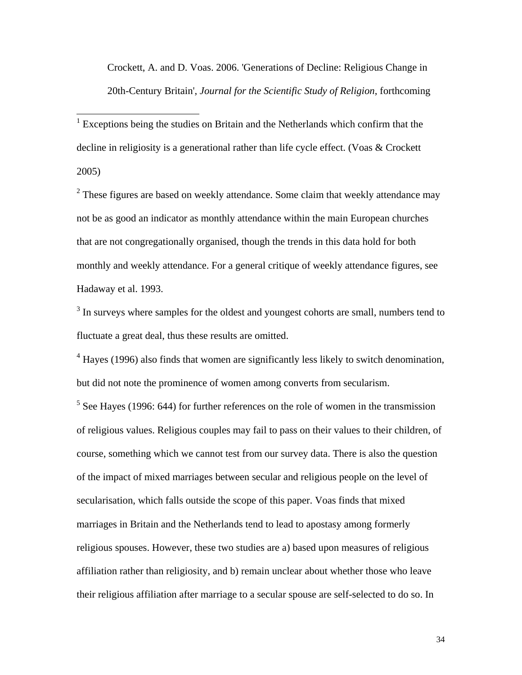Crockett, A. and D. Voas. 2006. 'Generations of Decline: Religious Change in 20th-Century Britain', *Journal for the Scientific Study of Religion*, forthcoming

<sup>1</sup> Exceptions being the studies on Britain and the Netherlands which confirm that the decline in religiosity is a generational rather than life cycle effect. (Voas & Crockett 2005)

 $2$  These figures are based on weekly attendance. Some claim that weekly attendance may not be as good an indicator as monthly attendance within the main European churches that are not congregationally organised, though the trends in this data hold for both monthly and weekly attendance. For a general critique of weekly attendance figures, see Hadaway et al. 1993.

 $3$  In surveys where samples for the oldest and youngest cohorts are small, numbers tend to fluctuate a great deal, thus these results are omitted.

 $4$  Hayes (1996) also finds that women are significantly less likely to switch denomination, but did not note the prominence of women among converts from secularism.

 $<sup>5</sup>$  See Hayes (1996: 644) for further references on the role of women in the transmission</sup> of religious values. Religious couples may fail to pass on their values to their children, of course, something which we cannot test from our survey data. There is also the question of the impact of mixed marriages between secular and religious people on the level of secularisation, which falls outside the scope of this paper. Voas finds that mixed marriages in Britain and the Netherlands tend to lead to apostasy among formerly religious spouses. However, these two studies are a) based upon measures of religious affiliation rather than religiosity, and b) remain unclear about whether those who leave their religious affiliation after marriage to a secular spouse are self-selected to do so. In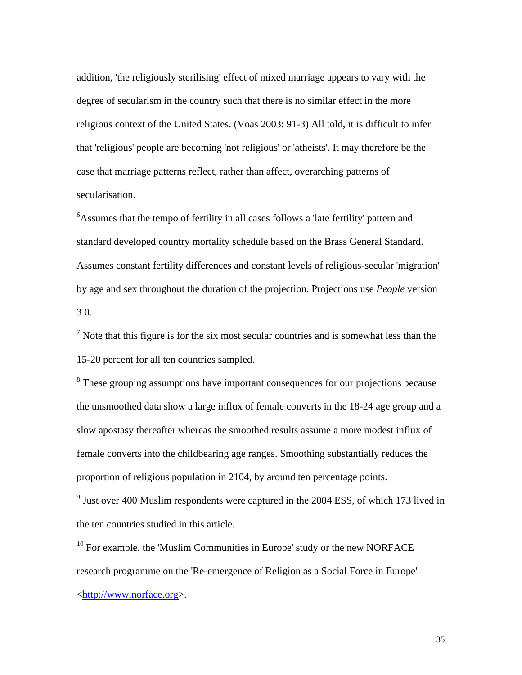addition, 'the religiously sterilising' effect of mixed marriage appears to vary with the degree of secularism in the country such that there is no similar effect in the more religious context of the United States. (Voas 2003: 91-3) All told, it is difficult to infer that 'religious' people are becoming 'not religious' or 'atheists'. It may therefore be the case that marriage patterns reflect, rather than affect, overarching patterns of secularisation.

 $\overline{\phantom{a}}$ 

<sup>6</sup> Assumes that the tempo of fertility in all cases follows a 'late fertility' pattern and standard developed country mortality schedule based on the Brass General Standard. Assumes constant fertility differences and constant levels of religious-secular 'migration' by age and sex throughout the duration of the projection. Projections use *People* version 3.0.

 $<sup>7</sup>$  Note that this figure is for the six most secular countries and is somewhat less than the</sup> 15-20 percent for all ten countries sampled.

<sup>8</sup> These grouping assumptions have important consequences for our projections because the unsmoothed data show a large influx of female converts in the 18-24 age group and a slow apostasy thereafter whereas the smoothed results assume a more modest influx of female converts into the childbearing age ranges. Smoothing substantially reduces the proportion of religious population in 2104, by around ten percentage points.

 $9^9$  Just over 400 Muslim respondents were captured in the 2004 ESS, of which 173 lived in the ten countries studied in this article.

 $10$  For example, the 'Muslim Communities in Europe' study or the new NORFACE research programme on the 'Re-emergence of Religion as a Social Force in Europe' <http://www.norface.org>.